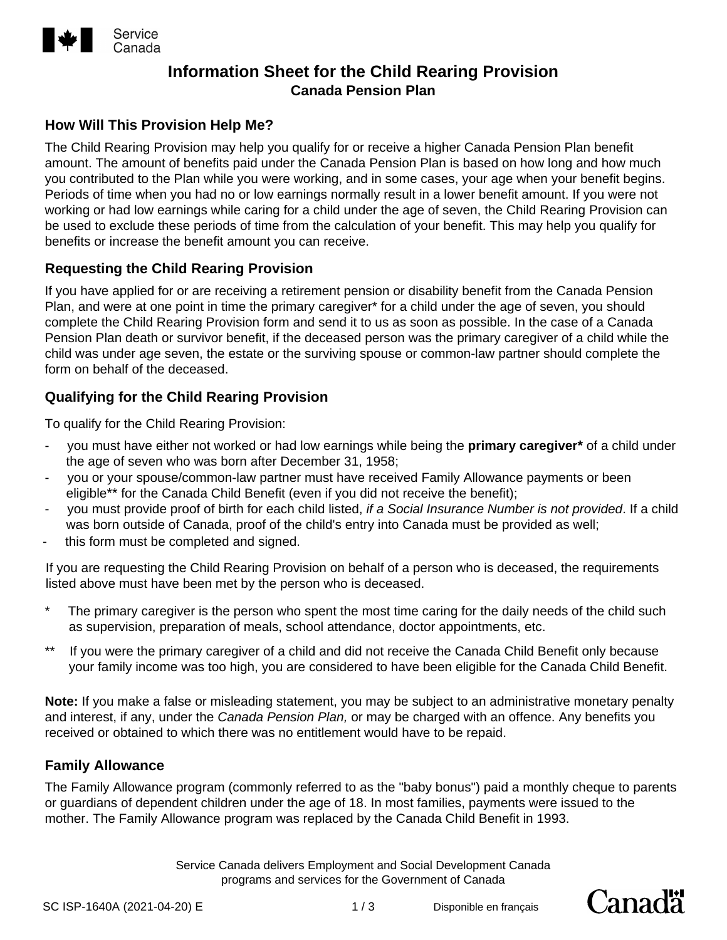

# **Information Sheet for the Child Rearing Provision Canada Pension Plan**

# **How Will This Provision Help Me?**

The Child Rearing Provision may help you qualify for or receive a higher Canada Pension Plan benefit amount. The amount of benefits paid under the Canada Pension Plan is based on how long and how much you contributed to the Plan while you were working, and in some cases, your age when your benefit begins. Periods of time when you had no or low earnings normally result in a lower benefit amount. If you were not working or had low earnings while caring for a child under the age of seven, the Child Rearing Provision can be used to exclude these periods of time from the calculation of your benefit. This may help you qualify for benefits or increase the benefit amount you can receive.

# **Requesting the Child Rearing Provision**

If you have applied for or are receiving a retirement pension or disability benefit from the Canada Pension Plan, and were at one point in time the primary caregiver\* for a child under the age of seven, you should complete the Child Rearing Provision form and send it to us as soon as possible. In the case of a Canada Pension Plan death or survivor benefit, if the deceased person was the primary caregiver of a child while the child was under age seven, the estate or the surviving spouse or common-law partner should complete the form on behalf of the deceased.

# **Qualifying for the Child Rearing Provision**

To qualify for the Child Rearing Provision:

- you must have either not worked or had low earnings while being the **primary caregiver\*** of a child under the age of seven who was born after December 31, 1958;
- you or your spouse/common-law partner must have received Family Allowance payments or been eligible\*\* for the Canada Child Benefit (even if you did not receive the benefit);
- you must provide proof of birth for each child listed, *if a Social Insurance Number is not provided*. If a child was born outside of Canada, proof of the child's entry into Canada must be provided as well;
- this form must be completed and signed.

If you are requesting the Child Rearing Provision on behalf of a person who is deceased, the requirements listed above must have been met by the person who is deceased.

- The primary caregiver is the person who spent the most time caring for the daily needs of the child such as supervision, preparation of meals, school attendance, doctor appointments, etc.
- \*\* If you were the primary caregiver of a child and did not receive the Canada Child Benefit only because your family income was too high, you are considered to have been eligible for the Canada Child Benefit.

**Note:** If you make a false or misleading statement, you may be subject to an administrative monetary penalty and interest, if any, under the *Canada Pension Plan,* or may be charged with an offence. Any benefits you received or obtained to which there was no entitlement would have to be repaid.

## **Family Allowance**

The Family Allowance program (commonly referred to as the "baby bonus") paid a monthly cheque to parents or guardians of dependent children under the age of 18. In most families, payments were issued to the mother. The Family Allowance program was replaced by the Canada Child Benefit in 1993.

> Service Canada delivers Employment and Social Development Canada programs and services for the Government of Canada

Canadä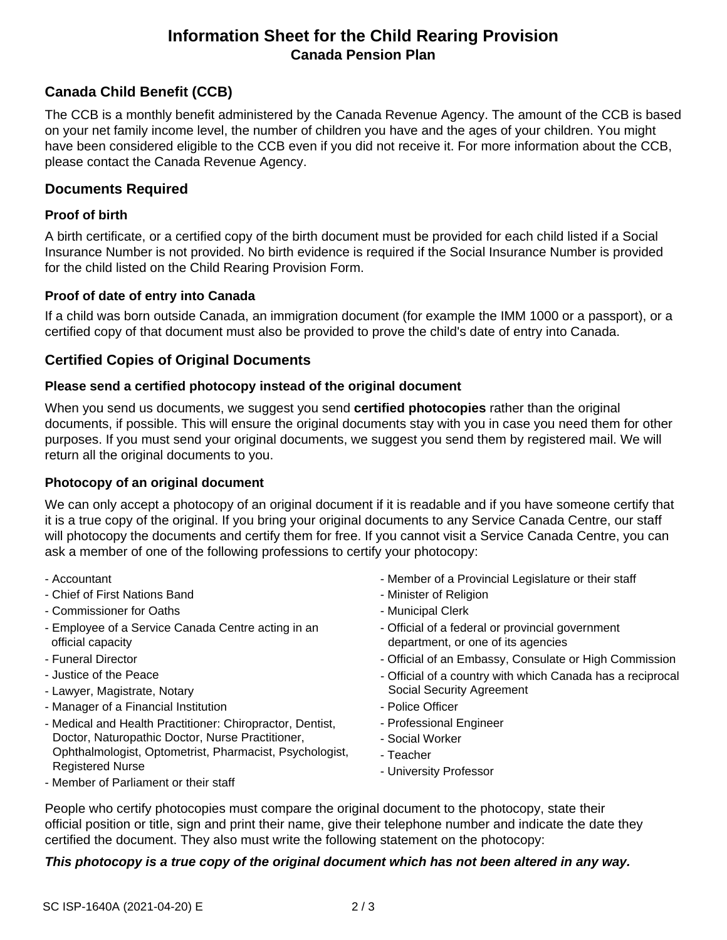# **Information Sheet for the Child Rearing Provision Canada Pension Plan**

# **Canada Child Benefit (CCB)**

The CCB is a monthly benefit administered by the Canada Revenue Agency. The amount of the CCB is based on your net family income level, the number of children you have and the ages of your children. You might have been considered eligible to the CCB even if you did not receive it. For more information about the CCB, please contact the Canada Revenue Agency.

## **Documents Required**

## **Proof of birth**

A birth certificate, or a certified copy of the birth document must be provided for each child listed if a Social Insurance Number is not provided. No birth evidence is required if the Social Insurance Number is provided for the child listed on the Child Rearing Provision Form.

#### **Proof of date of entry into Canada**

If a child was born outside Canada, an immigration document (for example the IMM 1000 or a passport), or a certified copy of that document must also be provided to prove the child's date of entry into Canada.

## **Certified Copies of Original Documents**

#### **Please send a certified photocopy instead of the original document**

When you send us documents, we suggest you send **certified photocopies** rather than the original documents, if possible. This will ensure the original documents stay with you in case you need them for other purposes. If you must send your original documents, we suggest you send them by registered mail. We will return all the original documents to you.

## **Photocopy of an original document**

We can only accept a photocopy of an original document if it is readable and if you have someone certify that it is a true copy of the original. If you bring your original documents to any Service Canada Centre, our staff will photocopy the documents and certify them for free. If you cannot visit a Service Canada Centre, you can ask a member of one of the following professions to certify your photocopy:

- Accountant
- Chief of First Nations Band
- Commissioner for Oaths
- Employee of a Service Canada Centre acting in an official capacity
- Funeral Director
- Justice of the Peace
- Lawyer, Magistrate, Notary
- Manager of a Financial Institution
- Medical and Health Practitioner: Chiropractor, Dentist, Doctor, Naturopathic Doctor, Nurse Practitioner, Ophthalmologist, Optometrist, Pharmacist, Psychologist, Registered Nurse
- Member of a Provincial Legislature or their staff
- Minister of Religion
- Municipal Clerk
- Official of a federal or provincial government department, or one of its agencies
- Official of an Embassy, Consulate or High Commission
- Official of a country with which Canada has a reciprocal Social Security Agreement
- Police Officer
- Professional Engineer
- Social Worker
- Teacher
- University Professor

- Member of Parliament or their staff

People who certify photocopies must compare the original document to the photocopy, state their official position or title, sign and print their name, give their telephone number and indicate the date they certified the document. They also must write the following statement on the photocopy:

#### *This photocopy is a true copy of the original document which has not been altered in any way.*